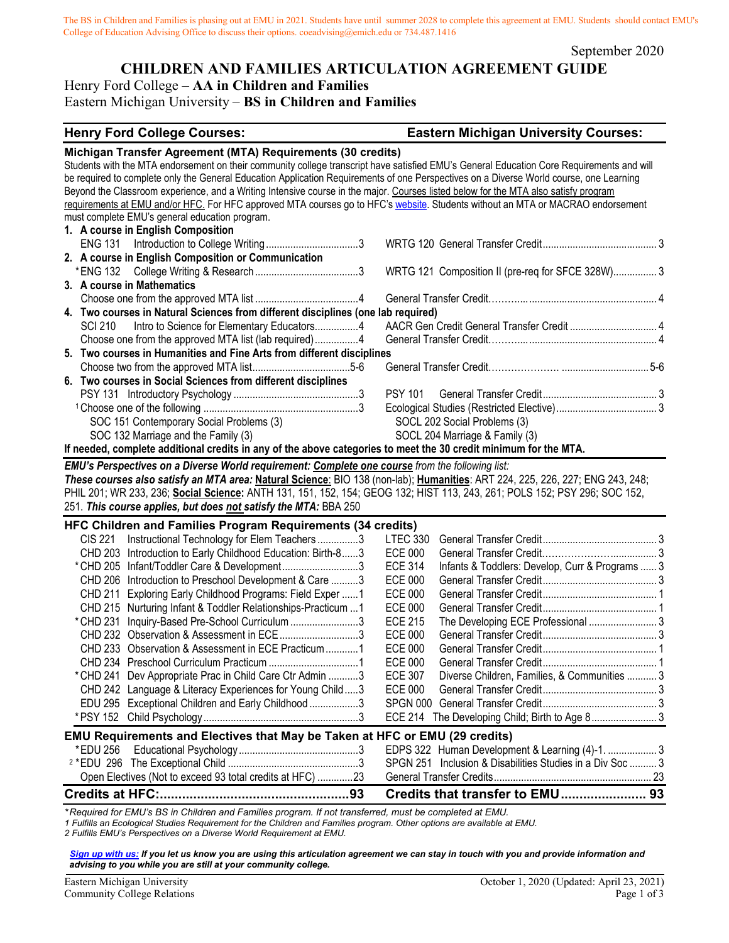The BS in Children and Families is phasing out at EMU in 2021. Students have until summer 2028 to complete this agreement at EMU. Students should contact EMU's College of Education Advising Office to discuss their options. coeadvising@emich.edu or 734.487.1416

September 2020

# **CHILDREN AND FAMILIES ARTICULATION AGREEMENT GUIDE**

#### Henry Ford College – **AA in Children and Families** Eastern Michigan University – **BS in Children and Families**

#### **Henry Ford College Courses: Eastern Michigan University Courses:**

| Students with the MTA endorsement on their community college transcript have satisfied EMU's General Education Core Requirements and will<br>be required to complete only the General Education Application Requirements of one Perspectives on a Diverse World course, one Learning<br>Beyond the Classroom experience, and a Writing Intensive course in the major. Courses listed below for the MTA also satisfy program<br>requirements at EMU and/or HFC. For HFC approved MTA courses go to HFC's website. Students without an MTA or MACRAO endorsement<br>must complete EMU's general education program.<br>1. A course in English Composition<br><b>ENG 131</b><br>2. A course in English Composition or Communication<br>WRTG 121 Composition II (pre-req for SFCE 328W) 3<br>3. A course in Mathematics<br>4. Two courses in Natural Sciences from different disciplines (one lab required)<br>AACR Gen Credit General Transfer Credit  4<br><b>SCI 210</b><br>Intro to Science for Elementary Educators4<br>Choose one from the approved MTA list (lab required)4<br>5. Two courses in Humanities and Fine Arts from different disciplines<br>6. Two courses in Social Sciences from different disciplines<br><b>PSY 101</b><br>SOC 151 Contemporary Social Problems (3)<br>SOCL 202 Social Problems (3)<br>SOC 132 Marriage and the Family (3)<br>SOCL 204 Marriage & Family (3)<br>If needed, complete additional credits in any of the above categories to meet the 30 credit minimum for the MTA.<br>EMU's Perspectives on a Diverse World requirement: Complete one course from the following list:<br>These courses also satisfy an MTA area: Natural Science: BIO 138 (non-lab); Humanities: ART 224, 225, 226, 227; ENG 243, 248;<br>PHIL 201; WR 233, 236; Social Science: ANTH 131, 151, 152, 154; GEOG 132; HIST 113, 243, 261; POLS 152; PSY 296; SOC 152,<br>251. This course applies, but does not satisfy the MTA: BBA 250<br>HFC Children and Families Program Requirements (34 credits)<br>CIS 221 Instructional Technology for Elem Teachers 3<br><b>LTEC 330</b><br>CHD 203 Introduction to Early Childhood Education: Birth-83<br><b>ECE 000</b><br>*CHD 205 Infant/Toddler Care & Development3<br><b>ECE 314</b><br>Infants & Toddlers: Develop, Curr & Programs  3<br><b>ECE 000</b><br>CHD 206 Introduction to Preschool Development & Care 3<br>CHD 211 Exploring Early Childhood Programs: Field Exper  1<br><b>ECE 000</b><br>CHD 215 Nurturing Infant & Toddler Relationships-Practicum  1<br><b>ECE 000</b><br>The Developing ECE Professional  3<br>*CHD 231 Inquiry-Based Pre-School Curriculum 3<br><b>ECE 215</b><br>CHD 232 Observation & Assessment in ECE3<br><b>ECE 000</b><br>CHD 233 Observation & Assessment in ECE Practicum 1<br><b>ECE 000</b><br><b>ECE 000</b><br>* CHD 241 Dev Appropriate Prac in Child Care Ctr Admin  3<br><b>ECE 307</b><br>Diverse Children, Families, & Communities  3<br>CHD 242 Language & Literacy Experiences for Young Child3<br><b>ECE 000</b><br>EDU 295 Exceptional Children and Early Childhood 3<br>ECE 214 The Developing Child; Birth to Age 8 3<br><b>EMU Requirements and Electives that May be Taken at HFC or EMU (29 credits)</b><br>EDPS 322 Human Development & Learning (4)-1.  3<br>*EDU 256<br>SPGN 251 Inclusion & Disabilities Studies in a Div Soc  3<br>Open Electives (Not to exceed 93 total credits at HFC) 23 | Michigan Transfer Agreement (MTA) Requirements (30 credits) |  |  |  |  |
|----------------------------------------------------------------------------------------------------------------------------------------------------------------------------------------------------------------------------------------------------------------------------------------------------------------------------------------------------------------------------------------------------------------------------------------------------------------------------------------------------------------------------------------------------------------------------------------------------------------------------------------------------------------------------------------------------------------------------------------------------------------------------------------------------------------------------------------------------------------------------------------------------------------------------------------------------------------------------------------------------------------------------------------------------------------------------------------------------------------------------------------------------------------------------------------------------------------------------------------------------------------------------------------------------------------------------------------------------------------------------------------------------------------------------------------------------------------------------------------------------------------------------------------------------------------------------------------------------------------------------------------------------------------------------------------------------------------------------------------------------------------------------------------------------------------------------------------------------------------------------------------------------------------------------------------------------------------------------------------------------------------------------------------------------------------------------------------------------------------------------------------------------------------------------------------------------------------------------------------------------------------------------------------------------------------------------------------------------------------------------------------------------------------------------------------------------------------------------------------------------------------------------------------------------------------------------------------------------------------------------------------------------------------------------------------------------------------------------------------------------------------------------------------------------------------------------------------------------------------------------------------------------------------------------------------------------------------------------------------------------------------------------------------------------------------------------------------------------------------------------------------------------------------------------------------------------------------------------------------------------------------------------------------------------------------------------------------------------------------------------------------------------------------------------|-------------------------------------------------------------|--|--|--|--|
|                                                                                                                                                                                                                                                                                                                                                                                                                                                                                                                                                                                                                                                                                                                                                                                                                                                                                                                                                                                                                                                                                                                                                                                                                                                                                                                                                                                                                                                                                                                                                                                                                                                                                                                                                                                                                                                                                                                                                                                                                                                                                                                                                                                                                                                                                                                                                                                                                                                                                                                                                                                                                                                                                                                                                                                                                                                                                                                                                                                                                                                                                                                                                                                                                                                                                                                                                                                                                            |                                                             |  |  |  |  |
|                                                                                                                                                                                                                                                                                                                                                                                                                                                                                                                                                                                                                                                                                                                                                                                                                                                                                                                                                                                                                                                                                                                                                                                                                                                                                                                                                                                                                                                                                                                                                                                                                                                                                                                                                                                                                                                                                                                                                                                                                                                                                                                                                                                                                                                                                                                                                                                                                                                                                                                                                                                                                                                                                                                                                                                                                                                                                                                                                                                                                                                                                                                                                                                                                                                                                                                                                                                                                            |                                                             |  |  |  |  |
|                                                                                                                                                                                                                                                                                                                                                                                                                                                                                                                                                                                                                                                                                                                                                                                                                                                                                                                                                                                                                                                                                                                                                                                                                                                                                                                                                                                                                                                                                                                                                                                                                                                                                                                                                                                                                                                                                                                                                                                                                                                                                                                                                                                                                                                                                                                                                                                                                                                                                                                                                                                                                                                                                                                                                                                                                                                                                                                                                                                                                                                                                                                                                                                                                                                                                                                                                                                                                            |                                                             |  |  |  |  |
|                                                                                                                                                                                                                                                                                                                                                                                                                                                                                                                                                                                                                                                                                                                                                                                                                                                                                                                                                                                                                                                                                                                                                                                                                                                                                                                                                                                                                                                                                                                                                                                                                                                                                                                                                                                                                                                                                                                                                                                                                                                                                                                                                                                                                                                                                                                                                                                                                                                                                                                                                                                                                                                                                                                                                                                                                                                                                                                                                                                                                                                                                                                                                                                                                                                                                                                                                                                                                            |                                                             |  |  |  |  |
|                                                                                                                                                                                                                                                                                                                                                                                                                                                                                                                                                                                                                                                                                                                                                                                                                                                                                                                                                                                                                                                                                                                                                                                                                                                                                                                                                                                                                                                                                                                                                                                                                                                                                                                                                                                                                                                                                                                                                                                                                                                                                                                                                                                                                                                                                                                                                                                                                                                                                                                                                                                                                                                                                                                                                                                                                                                                                                                                                                                                                                                                                                                                                                                                                                                                                                                                                                                                                            |                                                             |  |  |  |  |
|                                                                                                                                                                                                                                                                                                                                                                                                                                                                                                                                                                                                                                                                                                                                                                                                                                                                                                                                                                                                                                                                                                                                                                                                                                                                                                                                                                                                                                                                                                                                                                                                                                                                                                                                                                                                                                                                                                                                                                                                                                                                                                                                                                                                                                                                                                                                                                                                                                                                                                                                                                                                                                                                                                                                                                                                                                                                                                                                                                                                                                                                                                                                                                                                                                                                                                                                                                                                                            |                                                             |  |  |  |  |
|                                                                                                                                                                                                                                                                                                                                                                                                                                                                                                                                                                                                                                                                                                                                                                                                                                                                                                                                                                                                                                                                                                                                                                                                                                                                                                                                                                                                                                                                                                                                                                                                                                                                                                                                                                                                                                                                                                                                                                                                                                                                                                                                                                                                                                                                                                                                                                                                                                                                                                                                                                                                                                                                                                                                                                                                                                                                                                                                                                                                                                                                                                                                                                                                                                                                                                                                                                                                                            |                                                             |  |  |  |  |
|                                                                                                                                                                                                                                                                                                                                                                                                                                                                                                                                                                                                                                                                                                                                                                                                                                                                                                                                                                                                                                                                                                                                                                                                                                                                                                                                                                                                                                                                                                                                                                                                                                                                                                                                                                                                                                                                                                                                                                                                                                                                                                                                                                                                                                                                                                                                                                                                                                                                                                                                                                                                                                                                                                                                                                                                                                                                                                                                                                                                                                                                                                                                                                                                                                                                                                                                                                                                                            |                                                             |  |  |  |  |
|                                                                                                                                                                                                                                                                                                                                                                                                                                                                                                                                                                                                                                                                                                                                                                                                                                                                                                                                                                                                                                                                                                                                                                                                                                                                                                                                                                                                                                                                                                                                                                                                                                                                                                                                                                                                                                                                                                                                                                                                                                                                                                                                                                                                                                                                                                                                                                                                                                                                                                                                                                                                                                                                                                                                                                                                                                                                                                                                                                                                                                                                                                                                                                                                                                                                                                                                                                                                                            |                                                             |  |  |  |  |
|                                                                                                                                                                                                                                                                                                                                                                                                                                                                                                                                                                                                                                                                                                                                                                                                                                                                                                                                                                                                                                                                                                                                                                                                                                                                                                                                                                                                                                                                                                                                                                                                                                                                                                                                                                                                                                                                                                                                                                                                                                                                                                                                                                                                                                                                                                                                                                                                                                                                                                                                                                                                                                                                                                                                                                                                                                                                                                                                                                                                                                                                                                                                                                                                                                                                                                                                                                                                                            |                                                             |  |  |  |  |
|                                                                                                                                                                                                                                                                                                                                                                                                                                                                                                                                                                                                                                                                                                                                                                                                                                                                                                                                                                                                                                                                                                                                                                                                                                                                                                                                                                                                                                                                                                                                                                                                                                                                                                                                                                                                                                                                                                                                                                                                                                                                                                                                                                                                                                                                                                                                                                                                                                                                                                                                                                                                                                                                                                                                                                                                                                                                                                                                                                                                                                                                                                                                                                                                                                                                                                                                                                                                                            |                                                             |  |  |  |  |
|                                                                                                                                                                                                                                                                                                                                                                                                                                                                                                                                                                                                                                                                                                                                                                                                                                                                                                                                                                                                                                                                                                                                                                                                                                                                                                                                                                                                                                                                                                                                                                                                                                                                                                                                                                                                                                                                                                                                                                                                                                                                                                                                                                                                                                                                                                                                                                                                                                                                                                                                                                                                                                                                                                                                                                                                                                                                                                                                                                                                                                                                                                                                                                                                                                                                                                                                                                                                                            |                                                             |  |  |  |  |
|                                                                                                                                                                                                                                                                                                                                                                                                                                                                                                                                                                                                                                                                                                                                                                                                                                                                                                                                                                                                                                                                                                                                                                                                                                                                                                                                                                                                                                                                                                                                                                                                                                                                                                                                                                                                                                                                                                                                                                                                                                                                                                                                                                                                                                                                                                                                                                                                                                                                                                                                                                                                                                                                                                                                                                                                                                                                                                                                                                                                                                                                                                                                                                                                                                                                                                                                                                                                                            |                                                             |  |  |  |  |
|                                                                                                                                                                                                                                                                                                                                                                                                                                                                                                                                                                                                                                                                                                                                                                                                                                                                                                                                                                                                                                                                                                                                                                                                                                                                                                                                                                                                                                                                                                                                                                                                                                                                                                                                                                                                                                                                                                                                                                                                                                                                                                                                                                                                                                                                                                                                                                                                                                                                                                                                                                                                                                                                                                                                                                                                                                                                                                                                                                                                                                                                                                                                                                                                                                                                                                                                                                                                                            |                                                             |  |  |  |  |
|                                                                                                                                                                                                                                                                                                                                                                                                                                                                                                                                                                                                                                                                                                                                                                                                                                                                                                                                                                                                                                                                                                                                                                                                                                                                                                                                                                                                                                                                                                                                                                                                                                                                                                                                                                                                                                                                                                                                                                                                                                                                                                                                                                                                                                                                                                                                                                                                                                                                                                                                                                                                                                                                                                                                                                                                                                                                                                                                                                                                                                                                                                                                                                                                                                                                                                                                                                                                                            |                                                             |  |  |  |  |
|                                                                                                                                                                                                                                                                                                                                                                                                                                                                                                                                                                                                                                                                                                                                                                                                                                                                                                                                                                                                                                                                                                                                                                                                                                                                                                                                                                                                                                                                                                                                                                                                                                                                                                                                                                                                                                                                                                                                                                                                                                                                                                                                                                                                                                                                                                                                                                                                                                                                                                                                                                                                                                                                                                                                                                                                                                                                                                                                                                                                                                                                                                                                                                                                                                                                                                                                                                                                                            |                                                             |  |  |  |  |
|                                                                                                                                                                                                                                                                                                                                                                                                                                                                                                                                                                                                                                                                                                                                                                                                                                                                                                                                                                                                                                                                                                                                                                                                                                                                                                                                                                                                                                                                                                                                                                                                                                                                                                                                                                                                                                                                                                                                                                                                                                                                                                                                                                                                                                                                                                                                                                                                                                                                                                                                                                                                                                                                                                                                                                                                                                                                                                                                                                                                                                                                                                                                                                                                                                                                                                                                                                                                                            |                                                             |  |  |  |  |
|                                                                                                                                                                                                                                                                                                                                                                                                                                                                                                                                                                                                                                                                                                                                                                                                                                                                                                                                                                                                                                                                                                                                                                                                                                                                                                                                                                                                                                                                                                                                                                                                                                                                                                                                                                                                                                                                                                                                                                                                                                                                                                                                                                                                                                                                                                                                                                                                                                                                                                                                                                                                                                                                                                                                                                                                                                                                                                                                                                                                                                                                                                                                                                                                                                                                                                                                                                                                                            |                                                             |  |  |  |  |
|                                                                                                                                                                                                                                                                                                                                                                                                                                                                                                                                                                                                                                                                                                                                                                                                                                                                                                                                                                                                                                                                                                                                                                                                                                                                                                                                                                                                                                                                                                                                                                                                                                                                                                                                                                                                                                                                                                                                                                                                                                                                                                                                                                                                                                                                                                                                                                                                                                                                                                                                                                                                                                                                                                                                                                                                                                                                                                                                                                                                                                                                                                                                                                                                                                                                                                                                                                                                                            |                                                             |  |  |  |  |
|                                                                                                                                                                                                                                                                                                                                                                                                                                                                                                                                                                                                                                                                                                                                                                                                                                                                                                                                                                                                                                                                                                                                                                                                                                                                                                                                                                                                                                                                                                                                                                                                                                                                                                                                                                                                                                                                                                                                                                                                                                                                                                                                                                                                                                                                                                                                                                                                                                                                                                                                                                                                                                                                                                                                                                                                                                                                                                                                                                                                                                                                                                                                                                                                                                                                                                                                                                                                                            |                                                             |  |  |  |  |
|                                                                                                                                                                                                                                                                                                                                                                                                                                                                                                                                                                                                                                                                                                                                                                                                                                                                                                                                                                                                                                                                                                                                                                                                                                                                                                                                                                                                                                                                                                                                                                                                                                                                                                                                                                                                                                                                                                                                                                                                                                                                                                                                                                                                                                                                                                                                                                                                                                                                                                                                                                                                                                                                                                                                                                                                                                                                                                                                                                                                                                                                                                                                                                                                                                                                                                                                                                                                                            |                                                             |  |  |  |  |
|                                                                                                                                                                                                                                                                                                                                                                                                                                                                                                                                                                                                                                                                                                                                                                                                                                                                                                                                                                                                                                                                                                                                                                                                                                                                                                                                                                                                                                                                                                                                                                                                                                                                                                                                                                                                                                                                                                                                                                                                                                                                                                                                                                                                                                                                                                                                                                                                                                                                                                                                                                                                                                                                                                                                                                                                                                                                                                                                                                                                                                                                                                                                                                                                                                                                                                                                                                                                                            |                                                             |  |  |  |  |
|                                                                                                                                                                                                                                                                                                                                                                                                                                                                                                                                                                                                                                                                                                                                                                                                                                                                                                                                                                                                                                                                                                                                                                                                                                                                                                                                                                                                                                                                                                                                                                                                                                                                                                                                                                                                                                                                                                                                                                                                                                                                                                                                                                                                                                                                                                                                                                                                                                                                                                                                                                                                                                                                                                                                                                                                                                                                                                                                                                                                                                                                                                                                                                                                                                                                                                                                                                                                                            |                                                             |  |  |  |  |
|                                                                                                                                                                                                                                                                                                                                                                                                                                                                                                                                                                                                                                                                                                                                                                                                                                                                                                                                                                                                                                                                                                                                                                                                                                                                                                                                                                                                                                                                                                                                                                                                                                                                                                                                                                                                                                                                                                                                                                                                                                                                                                                                                                                                                                                                                                                                                                                                                                                                                                                                                                                                                                                                                                                                                                                                                                                                                                                                                                                                                                                                                                                                                                                                                                                                                                                                                                                                                            |                                                             |  |  |  |  |
|                                                                                                                                                                                                                                                                                                                                                                                                                                                                                                                                                                                                                                                                                                                                                                                                                                                                                                                                                                                                                                                                                                                                                                                                                                                                                                                                                                                                                                                                                                                                                                                                                                                                                                                                                                                                                                                                                                                                                                                                                                                                                                                                                                                                                                                                                                                                                                                                                                                                                                                                                                                                                                                                                                                                                                                                                                                                                                                                                                                                                                                                                                                                                                                                                                                                                                                                                                                                                            |                                                             |  |  |  |  |
|                                                                                                                                                                                                                                                                                                                                                                                                                                                                                                                                                                                                                                                                                                                                                                                                                                                                                                                                                                                                                                                                                                                                                                                                                                                                                                                                                                                                                                                                                                                                                                                                                                                                                                                                                                                                                                                                                                                                                                                                                                                                                                                                                                                                                                                                                                                                                                                                                                                                                                                                                                                                                                                                                                                                                                                                                                                                                                                                                                                                                                                                                                                                                                                                                                                                                                                                                                                                                            |                                                             |  |  |  |  |
|                                                                                                                                                                                                                                                                                                                                                                                                                                                                                                                                                                                                                                                                                                                                                                                                                                                                                                                                                                                                                                                                                                                                                                                                                                                                                                                                                                                                                                                                                                                                                                                                                                                                                                                                                                                                                                                                                                                                                                                                                                                                                                                                                                                                                                                                                                                                                                                                                                                                                                                                                                                                                                                                                                                                                                                                                                                                                                                                                                                                                                                                                                                                                                                                                                                                                                                                                                                                                            |                                                             |  |  |  |  |
|                                                                                                                                                                                                                                                                                                                                                                                                                                                                                                                                                                                                                                                                                                                                                                                                                                                                                                                                                                                                                                                                                                                                                                                                                                                                                                                                                                                                                                                                                                                                                                                                                                                                                                                                                                                                                                                                                                                                                                                                                                                                                                                                                                                                                                                                                                                                                                                                                                                                                                                                                                                                                                                                                                                                                                                                                                                                                                                                                                                                                                                                                                                                                                                                                                                                                                                                                                                                                            |                                                             |  |  |  |  |
|                                                                                                                                                                                                                                                                                                                                                                                                                                                                                                                                                                                                                                                                                                                                                                                                                                                                                                                                                                                                                                                                                                                                                                                                                                                                                                                                                                                                                                                                                                                                                                                                                                                                                                                                                                                                                                                                                                                                                                                                                                                                                                                                                                                                                                                                                                                                                                                                                                                                                                                                                                                                                                                                                                                                                                                                                                                                                                                                                                                                                                                                                                                                                                                                                                                                                                                                                                                                                            |                                                             |  |  |  |  |
|                                                                                                                                                                                                                                                                                                                                                                                                                                                                                                                                                                                                                                                                                                                                                                                                                                                                                                                                                                                                                                                                                                                                                                                                                                                                                                                                                                                                                                                                                                                                                                                                                                                                                                                                                                                                                                                                                                                                                                                                                                                                                                                                                                                                                                                                                                                                                                                                                                                                                                                                                                                                                                                                                                                                                                                                                                                                                                                                                                                                                                                                                                                                                                                                                                                                                                                                                                                                                            |                                                             |  |  |  |  |
|                                                                                                                                                                                                                                                                                                                                                                                                                                                                                                                                                                                                                                                                                                                                                                                                                                                                                                                                                                                                                                                                                                                                                                                                                                                                                                                                                                                                                                                                                                                                                                                                                                                                                                                                                                                                                                                                                                                                                                                                                                                                                                                                                                                                                                                                                                                                                                                                                                                                                                                                                                                                                                                                                                                                                                                                                                                                                                                                                                                                                                                                                                                                                                                                                                                                                                                                                                                                                            |                                                             |  |  |  |  |
|                                                                                                                                                                                                                                                                                                                                                                                                                                                                                                                                                                                                                                                                                                                                                                                                                                                                                                                                                                                                                                                                                                                                                                                                                                                                                                                                                                                                                                                                                                                                                                                                                                                                                                                                                                                                                                                                                                                                                                                                                                                                                                                                                                                                                                                                                                                                                                                                                                                                                                                                                                                                                                                                                                                                                                                                                                                                                                                                                                                                                                                                                                                                                                                                                                                                                                                                                                                                                            |                                                             |  |  |  |  |
|                                                                                                                                                                                                                                                                                                                                                                                                                                                                                                                                                                                                                                                                                                                                                                                                                                                                                                                                                                                                                                                                                                                                                                                                                                                                                                                                                                                                                                                                                                                                                                                                                                                                                                                                                                                                                                                                                                                                                                                                                                                                                                                                                                                                                                                                                                                                                                                                                                                                                                                                                                                                                                                                                                                                                                                                                                                                                                                                                                                                                                                                                                                                                                                                                                                                                                                                                                                                                            |                                                             |  |  |  |  |
|                                                                                                                                                                                                                                                                                                                                                                                                                                                                                                                                                                                                                                                                                                                                                                                                                                                                                                                                                                                                                                                                                                                                                                                                                                                                                                                                                                                                                                                                                                                                                                                                                                                                                                                                                                                                                                                                                                                                                                                                                                                                                                                                                                                                                                                                                                                                                                                                                                                                                                                                                                                                                                                                                                                                                                                                                                                                                                                                                                                                                                                                                                                                                                                                                                                                                                                                                                                                                            |                                                             |  |  |  |  |
|                                                                                                                                                                                                                                                                                                                                                                                                                                                                                                                                                                                                                                                                                                                                                                                                                                                                                                                                                                                                                                                                                                                                                                                                                                                                                                                                                                                                                                                                                                                                                                                                                                                                                                                                                                                                                                                                                                                                                                                                                                                                                                                                                                                                                                                                                                                                                                                                                                                                                                                                                                                                                                                                                                                                                                                                                                                                                                                                                                                                                                                                                                                                                                                                                                                                                                                                                                                                                            |                                                             |  |  |  |  |
|                                                                                                                                                                                                                                                                                                                                                                                                                                                                                                                                                                                                                                                                                                                                                                                                                                                                                                                                                                                                                                                                                                                                                                                                                                                                                                                                                                                                                                                                                                                                                                                                                                                                                                                                                                                                                                                                                                                                                                                                                                                                                                                                                                                                                                                                                                                                                                                                                                                                                                                                                                                                                                                                                                                                                                                                                                                                                                                                                                                                                                                                                                                                                                                                                                                                                                                                                                                                                            |                                                             |  |  |  |  |
|                                                                                                                                                                                                                                                                                                                                                                                                                                                                                                                                                                                                                                                                                                                                                                                                                                                                                                                                                                                                                                                                                                                                                                                                                                                                                                                                                                                                                                                                                                                                                                                                                                                                                                                                                                                                                                                                                                                                                                                                                                                                                                                                                                                                                                                                                                                                                                                                                                                                                                                                                                                                                                                                                                                                                                                                                                                                                                                                                                                                                                                                                                                                                                                                                                                                                                                                                                                                                            |                                                             |  |  |  |  |
|                                                                                                                                                                                                                                                                                                                                                                                                                                                                                                                                                                                                                                                                                                                                                                                                                                                                                                                                                                                                                                                                                                                                                                                                                                                                                                                                                                                                                                                                                                                                                                                                                                                                                                                                                                                                                                                                                                                                                                                                                                                                                                                                                                                                                                                                                                                                                                                                                                                                                                                                                                                                                                                                                                                                                                                                                                                                                                                                                                                                                                                                                                                                                                                                                                                                                                                                                                                                                            |                                                             |  |  |  |  |
|                                                                                                                                                                                                                                                                                                                                                                                                                                                                                                                                                                                                                                                                                                                                                                                                                                                                                                                                                                                                                                                                                                                                                                                                                                                                                                                                                                                                                                                                                                                                                                                                                                                                                                                                                                                                                                                                                                                                                                                                                                                                                                                                                                                                                                                                                                                                                                                                                                                                                                                                                                                                                                                                                                                                                                                                                                                                                                                                                                                                                                                                                                                                                                                                                                                                                                                                                                                                                            |                                                             |  |  |  |  |
|                                                                                                                                                                                                                                                                                                                                                                                                                                                                                                                                                                                                                                                                                                                                                                                                                                                                                                                                                                                                                                                                                                                                                                                                                                                                                                                                                                                                                                                                                                                                                                                                                                                                                                                                                                                                                                                                                                                                                                                                                                                                                                                                                                                                                                                                                                                                                                                                                                                                                                                                                                                                                                                                                                                                                                                                                                                                                                                                                                                                                                                                                                                                                                                                                                                                                                                                                                                                                            |                                                             |  |  |  |  |
|                                                                                                                                                                                                                                                                                                                                                                                                                                                                                                                                                                                                                                                                                                                                                                                                                                                                                                                                                                                                                                                                                                                                                                                                                                                                                                                                                                                                                                                                                                                                                                                                                                                                                                                                                                                                                                                                                                                                                                                                                                                                                                                                                                                                                                                                                                                                                                                                                                                                                                                                                                                                                                                                                                                                                                                                                                                                                                                                                                                                                                                                                                                                                                                                                                                                                                                                                                                                                            |                                                             |  |  |  |  |
|                                                                                                                                                                                                                                                                                                                                                                                                                                                                                                                                                                                                                                                                                                                                                                                                                                                                                                                                                                                                                                                                                                                                                                                                                                                                                                                                                                                                                                                                                                                                                                                                                                                                                                                                                                                                                                                                                                                                                                                                                                                                                                                                                                                                                                                                                                                                                                                                                                                                                                                                                                                                                                                                                                                                                                                                                                                                                                                                                                                                                                                                                                                                                                                                                                                                                                                                                                                                                            |                                                             |  |  |  |  |
|                                                                                                                                                                                                                                                                                                                                                                                                                                                                                                                                                                                                                                                                                                                                                                                                                                                                                                                                                                                                                                                                                                                                                                                                                                                                                                                                                                                                                                                                                                                                                                                                                                                                                                                                                                                                                                                                                                                                                                                                                                                                                                                                                                                                                                                                                                                                                                                                                                                                                                                                                                                                                                                                                                                                                                                                                                                                                                                                                                                                                                                                                                                                                                                                                                                                                                                                                                                                                            |                                                             |  |  |  |  |
|                                                                                                                                                                                                                                                                                                                                                                                                                                                                                                                                                                                                                                                                                                                                                                                                                                                                                                                                                                                                                                                                                                                                                                                                                                                                                                                                                                                                                                                                                                                                                                                                                                                                                                                                                                                                                                                                                                                                                                                                                                                                                                                                                                                                                                                                                                                                                                                                                                                                                                                                                                                                                                                                                                                                                                                                                                                                                                                                                                                                                                                                                                                                                                                                                                                                                                                                                                                                                            |                                                             |  |  |  |  |
|                                                                                                                                                                                                                                                                                                                                                                                                                                                                                                                                                                                                                                                                                                                                                                                                                                                                                                                                                                                                                                                                                                                                                                                                                                                                                                                                                                                                                                                                                                                                                                                                                                                                                                                                                                                                                                                                                                                                                                                                                                                                                                                                                                                                                                                                                                                                                                                                                                                                                                                                                                                                                                                                                                                                                                                                                                                                                                                                                                                                                                                                                                                                                                                                                                                                                                                                                                                                                            |                                                             |  |  |  |  |
|                                                                                                                                                                                                                                                                                                                                                                                                                                                                                                                                                                                                                                                                                                                                                                                                                                                                                                                                                                                                                                                                                                                                                                                                                                                                                                                                                                                                                                                                                                                                                                                                                                                                                                                                                                                                                                                                                                                                                                                                                                                                                                                                                                                                                                                                                                                                                                                                                                                                                                                                                                                                                                                                                                                                                                                                                                                                                                                                                                                                                                                                                                                                                                                                                                                                                                                                                                                                                            |                                                             |  |  |  |  |

*\* Required for EMU's BS in Children and Families program. If not transferred, must be completed at EMU.*

*1 Fulfills an Ecological Studies Requirement for the Children and Families program. Other options are available at EMU.*

*2 Fulfills EMU's Perspectives on a Diverse World Requirement at EMU.*

*[Sign up with us:](https://www.emich.edu/ccr/articulation-agreements/signup.php) If you let us know you are using this articulation agreement we can stay in touch with you and provide information and advising to you while you are still at your community college.*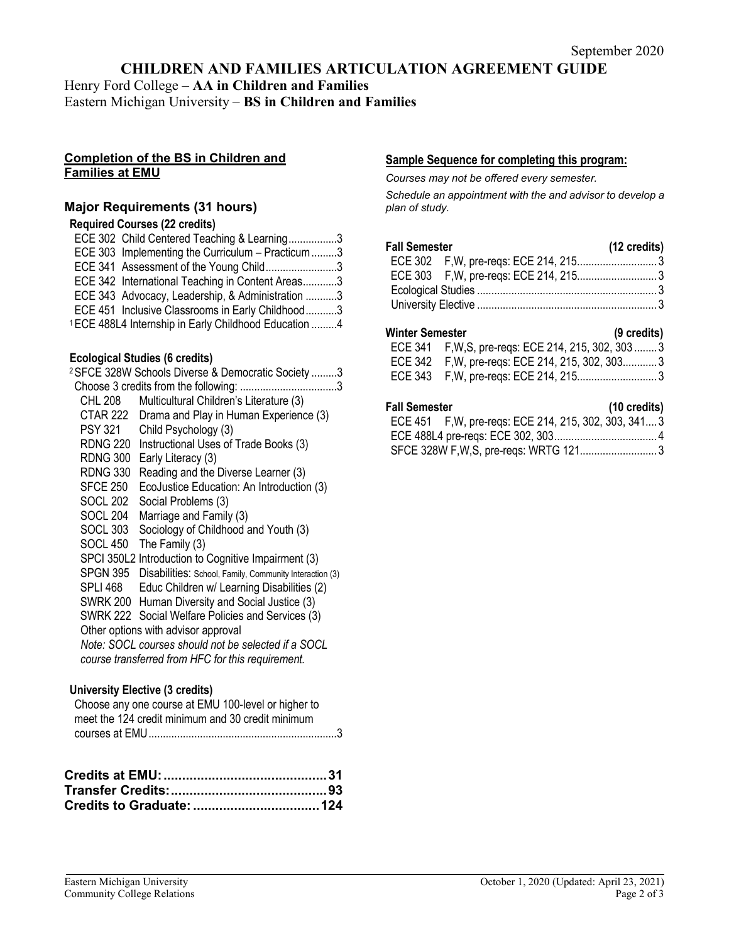# **CHILDREN AND FAMILIES ARTICULATION AGREEMENT GUIDE**

Henry Ford College – **AA in Children and Families** Eastern Michigan University – **BS in Children and Families**

#### **Completion of the BS in Children and Families at EMU**

# **Major Requirements (31 hours)**

#### **Required Courses (22 credits)**

| ECE 302 Child Centered Teaching & Learning3                      |  |
|------------------------------------------------------------------|--|
| ECE 303 Implementing the Curriculum - Practicum3                 |  |
| ECE 341 Assessment of the Young Child3                           |  |
| ECE 342 International Teaching in Content Areas3                 |  |
| ECE 343 Advocacy, Leadership, & Administration 3                 |  |
| ECE 451 Inclusive Classrooms in Early Childhood3                 |  |
| <sup>1</sup> ECE 488L4 Internship in Early Childhood Education 4 |  |

#### **Ecological Studies (6 credits)**

| <sup>2</sup> SFCE 328W Schools Diverse & Democratic Society 3 |                 |                                                         |
|---------------------------------------------------------------|-----------------|---------------------------------------------------------|
|                                                               |                 |                                                         |
|                                                               | <b>CHL 208</b>  | Multicultural Children's Literature (3)                 |
|                                                               | CTAR 222        | Drama and Play in Human Experience (3)                  |
|                                                               | <b>PSY 321</b>  | Child Psychology (3)                                    |
|                                                               | RDNG 220        | Instructional Uses of Trade Books (3)                   |
|                                                               | RDNG 300        | Early Literacy (3)                                      |
|                                                               | <b>RDNG 330</b> | Reading and the Diverse Learner (3)                     |
|                                                               | <b>SFCE 250</b> | EcoJustice Education: An Introduction (3)               |
|                                                               | <b>SOCL 202</b> | Social Problems (3)                                     |
|                                                               | <b>SOCL 204</b> | Marriage and Family (3)                                 |
|                                                               | SOCL 303        | Sociology of Childhood and Youth (3)                    |
|                                                               | <b>SOCL 450</b> | The Family (3)                                          |
|                                                               |                 | SPCI 350L2 Introduction to Cognitive Impairment (3)     |
|                                                               | SPGN 395        | Disabilities: School, Family, Community Interaction (3) |
|                                                               | SPLI 468        | Educ Children w/ Learning Disabilities (2)              |
|                                                               |                 | SWRK 200 Human Diversity and Social Justice (3)         |
|                                                               |                 | SWRK 222 Social Welfare Policies and Services (3)       |
|                                                               |                 | Other options with advisor approval                     |
|                                                               |                 | Note: SOCL courses should not be selected if a SOCL     |
|                                                               |                 | course transferred from HFC for this requirement.       |
|                                                               |                 |                                                         |

#### **University Elective (3 credits)**

| Choose any one course at EMU 100-level or higher to |
|-----------------------------------------------------|
| meet the 124 credit minimum and 30 credit minimum   |
|                                                     |

### **Sample Sequence for completing this program:**

*Courses may not be offered every semester.* 

*Schedule an appointment with the and advisor to develop a plan of study.*

#### **Fall Semester (12 credits)** ECE 302 F,W, pre-reqs: ECE 214, 215............................ 3

#### **Winter Semester (9 credits)**

| ECE 341    F,W,S, pre-regs: ECE 214, 215, 302, 303  3 |  |
|-------------------------------------------------------|--|
|                                                       |  |
|                                                       |  |

#### **Fall Semester (10 credits)**

| an Junivolu |                                                       | $\mathbf{u}$ |
|-------------|-------------------------------------------------------|--------------|
|             | ECE 451 F, W, pre-reqs: ECE 214, 215, 302, 303, 341 3 |              |
|             |                                                       |              |
|             |                                                       |              |